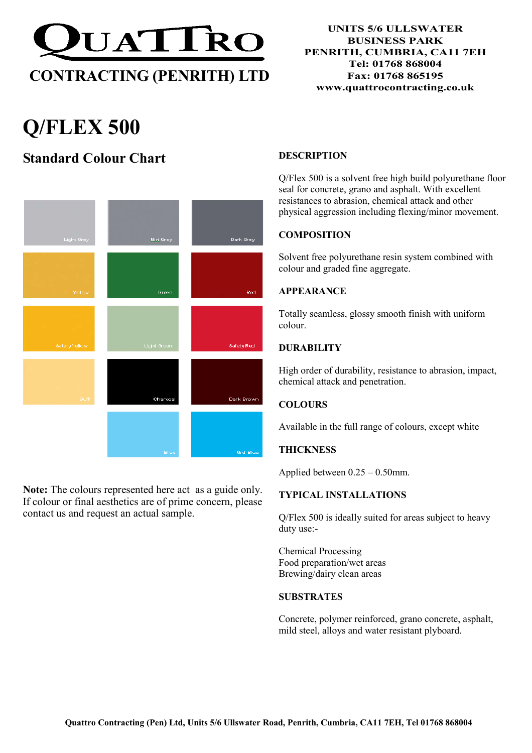

# Q/FLEX 500

## Standard Colour Chart



Note: The colours represented here act as a guide only. If colour or final aesthetics are of prime concern, please contact us and request an actual sample.

#### **DESCRIPTION**

Q/Flex 500 is a solvent free high build polyurethane floor seal for concrete, grano and asphalt. With excellent resistances to abrasion, chemical attack and other physical aggression including flexing/minor movement.

#### **COMPOSITION**

Solvent free polyurethane resin system combined with colour and graded fine aggregate.

#### APPEARANCE

Totally seamless, glossy smooth finish with uniform colour.

#### **DURABILITY**

High order of durability, resistance to abrasion, impact, chemical attack and penetration.

#### **COLOURS**

Available in the full range of colours, except white

#### **THICKNESS**

Applied between 0.25 – 0.50mm.

#### TYPICAL INSTALLATIONS

Q/Flex 500 is ideally suited for areas subject to heavy duty use:-

Chemical Processing Food preparation/wet areas Brewing/dairy clean areas

#### **SUBSTRATES**

Concrete, polymer reinforced, grano concrete, asphalt, mild steel, alloys and water resistant plyboard.